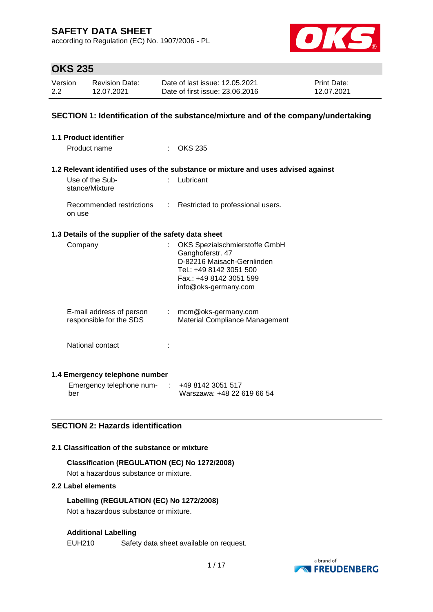according to Regulation (EC) No. 1907/2006 - PL



## **OKS 235**

| Version | <b>Revision Date:</b> | Date of last issue: 12.05.2021  | <b>Print Date:</b> |
|---------|-----------------------|---------------------------------|--------------------|
| 2.2     | 12.07.2021            | Date of first issue: 23.06.2016 | 12.07.2021         |

## **SECTION 1: Identification of the substance/mixture and of the company/undertaking**

| <b>1.1 Product identifier</b>                        |        |                                                                                                                                                               |
|------------------------------------------------------|--------|---------------------------------------------------------------------------------------------------------------------------------------------------------------|
| Product name                                         |        | <b>OKS 235</b>                                                                                                                                                |
|                                                      |        |                                                                                                                                                               |
|                                                      |        | 1.2 Relevant identified uses of the substance or mixture and uses advised against                                                                             |
| Use of the Sub-<br>stance/Mixture                    |        | Lubricant                                                                                                                                                     |
| Recommended restrictions<br>on use                   | ÷.     | Restricted to professional users.                                                                                                                             |
| 1.3 Details of the supplier of the safety data sheet |        |                                                                                                                                                               |
| Company                                              |        | OKS Spezialschmierstoffe GmbH<br>Ganghoferstr. 47<br>D-82216 Maisach-Gernlinden<br>Tel.: +49 8142 3051 500<br>Fax.: +49 8142 3051 599<br>info@oks-germany.com |
| E-mail address of person<br>responsible for the SDS  |        | $:$ mcm@oks-germany.com<br>Material Compliance Management                                                                                                     |
| National contact                                     |        |                                                                                                                                                               |
| 1.4 Emergency telephone number                       |        |                                                                                                                                                               |
| Emergency telephone num-                             | $\sim$ | +49 8142 3051 517                                                                                                                                             |

## **SECTION 2: Hazards identification**

## **2.1 Classification of the substance or mixture**

# **Classification (REGULATION (EC) No 1272/2008)**

Not a hazardous substance or mixture.

## **2.2 Label elements**

ber

**Labelling (REGULATION (EC) No 1272/2008)** Not a hazardous substance or mixture.

## **Additional Labelling**

EUH210 Safety data sheet available on request.



Warszawa: +48 22 619 66 54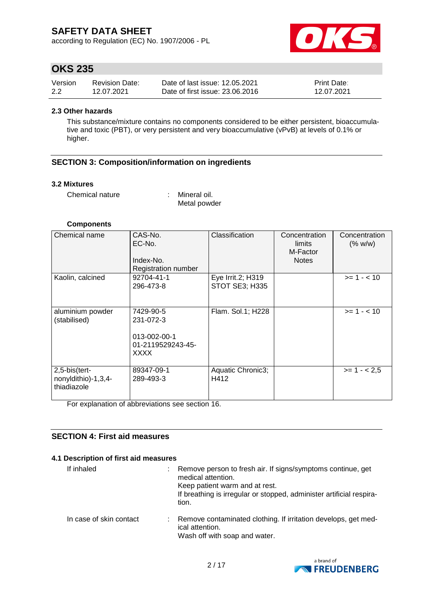according to Regulation (EC) No. 1907/2006 - PL



## **OKS 235**

| Version | <b>Revision Date:</b> | Date of last issue: 12.05.2021  | <b>Print Date:</b> |
|---------|-----------------------|---------------------------------|--------------------|
| 2.2     | 12.07.2021            | Date of first issue: 23,06,2016 | 12.07.2021         |

#### **2.3 Other hazards**

This substance/mixture contains no components considered to be either persistent, bioaccumulative and toxic (PBT), or very persistent and very bioaccumulative (vPvB) at levels of 0.1% or higher.

## **SECTION 3: Composition/information on ingredients**

#### **3.2 Mixtures**

Chemical nature : Mineral oil.

Metal powder

## **Components**

| Chemical name                                       | CAS-No.<br>EC-No.<br>Index-No.<br><b>Registration number</b>        | Classification                             | Concentration<br>limits<br>M-Factor<br><b>Notes</b> | Concentration<br>(% w/w) |
|-----------------------------------------------------|---------------------------------------------------------------------|--------------------------------------------|-----------------------------------------------------|--------------------------|
| Kaolin, calcined                                    | 92704-41-1<br>296-473-8                                             | Eye Irrit.2; H319<br><b>STOT SE3; H335</b> |                                                     | $>= 1 - 10$              |
| aluminium powder<br>(stabilised)                    | 7429-90-5<br>231-072-3<br>013-002-00-1<br>01-2119529243-45-<br>XXXX | Flam. Sol.1; H228                          |                                                     | $>= 1 - < 10$            |
| 2,5-bis(tert-<br>nonyldithio)-1,3,4-<br>thiadiazole | 89347-09-1<br>289-493-3                                             | Aquatic Chronic3;<br>H412                  |                                                     | $>= 1 - 2.5$             |

For explanation of abbreviations see section 16.

## **SECTION 4: First aid measures**

#### **4.1 Description of first aid measures**

| If inhaled              | Remove person to fresh air. If signs/symptoms continue, get<br>medical attention.<br>Keep patient warm and at rest.<br>If breathing is irregular or stopped, administer artificial respira-<br>tion. |
|-------------------------|------------------------------------------------------------------------------------------------------------------------------------------------------------------------------------------------------|
| In case of skin contact | Remove contaminated clothing. If irritation develops, get med-<br>ical attention.<br>Wash off with soap and water.                                                                                   |

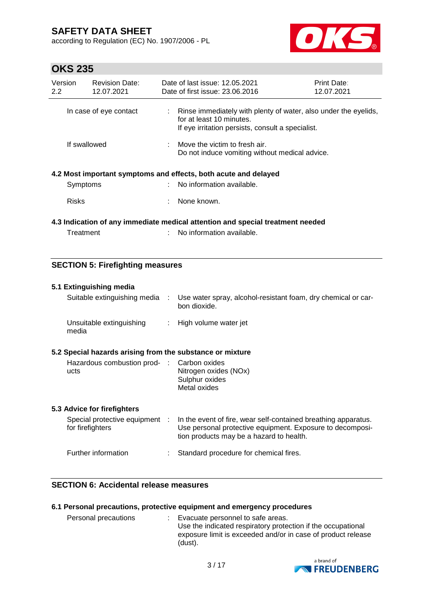according to Regulation (EC) No. 1907/2006 - PL



# **OKS 235**

| Version<br>$2.2^{\circ}$ | <b>Revision Date:</b><br>12.07.2021 |    | Date of last issue: 12.05.2021<br>Date of first issue: 23.06.2016                                                                                | <b>Print Date:</b><br>12.07.2021 |
|--------------------------|-------------------------------------|----|--------------------------------------------------------------------------------------------------------------------------------------------------|----------------------------------|
|                          | In case of eye contact              |    | Rinse immediately with plenty of water, also under the eyelids,<br>for at least 10 minutes.<br>If eye irritation persists, consult a specialist. |                                  |
| If swallowed             |                                     |    | $\therefore$ Move the victim to fresh air.<br>Do not induce vomiting without medical advice.                                                     |                                  |
|                          |                                     |    | 4.2 Most important symptoms and effects, both acute and delayed                                                                                  |                                  |
| Symptoms                 |                                     |    | : No information available.                                                                                                                      |                                  |
| <b>Risks</b>             |                                     | t. | None known.                                                                                                                                      |                                  |
|                          |                                     |    | 4.3 Indication of any immediate medical attention and special treatment needed                                                                   |                                  |
| Treatment                |                                     |    | No information available.                                                                                                                        |                                  |

## **SECTION 5: Firefighting measures**

| 5.1 Extinguishing media<br>Suitable extinguishing media<br>Use water spray, alcohol-resistant foam, dry chemical or car-<br>÷ |  |                                                                                                                                                                         |  |  |
|-------------------------------------------------------------------------------------------------------------------------------|--|-------------------------------------------------------------------------------------------------------------------------------------------------------------------------|--|--|
|                                                                                                                               |  | bon dioxide.                                                                                                                                                            |  |  |
| Unsuitable extinguishing<br>media                                                                                             |  | : High volume water jet                                                                                                                                                 |  |  |
| 5.2 Special hazards arising from the substance or mixture                                                                     |  |                                                                                                                                                                         |  |  |
| Hazardous combustion prod- : Carbon oxides<br>ucts                                                                            |  | Nitrogen oxides (NOx)<br>Sulphur oxides<br>Metal oxides                                                                                                                 |  |  |
| 5.3 Advice for firefighters                                                                                                   |  |                                                                                                                                                                         |  |  |
| Special protective equipment :<br>for firefighters                                                                            |  | In the event of fire, wear self-contained breathing apparatus.<br>Use personal protective equipment. Exposure to decomposi-<br>tion products may be a hazard to health. |  |  |
| Further information                                                                                                           |  | Standard procedure for chemical fires.                                                                                                                                  |  |  |

## **SECTION 6: Accidental release measures**

## **6.1 Personal precautions, protective equipment and emergency procedures**

| Personal precautions | : Evacuate personnel to safe areas.                          |
|----------------------|--------------------------------------------------------------|
|                      | Use the indicated respiratory protection if the occupational |
|                      | exposure limit is exceeded and/or in case of product release |
|                      | (dust).                                                      |

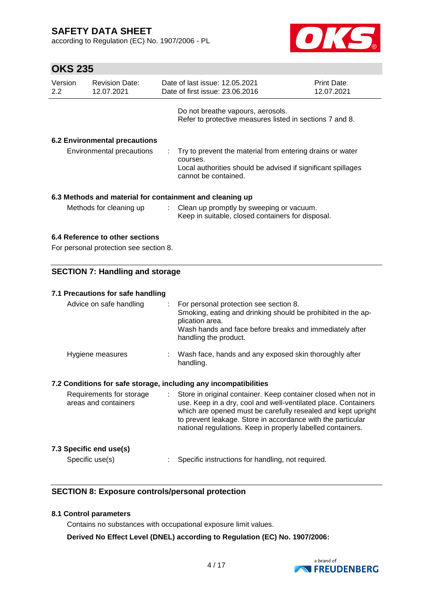**OKS 235**

according to Regulation (EC) No. 1907/2006 - PL



| Version<br>$2.2^{\circ}$                                         | <b>Revision Date:</b><br>12.07.2021                                       |    | Date of last issue: 12.05.2021<br>Date of first issue: 23.06.2016                                                                                                                                                                                                                                                              | Print Date:<br>12.07.2021 |  |
|------------------------------------------------------------------|---------------------------------------------------------------------------|----|--------------------------------------------------------------------------------------------------------------------------------------------------------------------------------------------------------------------------------------------------------------------------------------------------------------------------------|---------------------------|--|
|                                                                  |                                                                           |    | Do not breathe vapours, aerosols.<br>Refer to protective measures listed in sections 7 and 8.                                                                                                                                                                                                                                  |                           |  |
|                                                                  | <b>6.2 Environmental precautions</b><br>Environmental precautions         |    | Try to prevent the material from entering drains or water<br>courses.<br>Local authorities should be advised if significant spillages<br>cannot be contained.                                                                                                                                                                  |                           |  |
|                                                                  |                                                                           |    | 6.3 Methods and material for containment and cleaning up                                                                                                                                                                                                                                                                       |                           |  |
|                                                                  | Methods for cleaning up                                                   | ÷. | Clean up promptly by sweeping or vacuum.<br>Keep in suitable, closed containers for disposal.                                                                                                                                                                                                                                  |                           |  |
|                                                                  | 6.4 Reference to other sections<br>For personal protection see section 8. |    |                                                                                                                                                                                                                                                                                                                                |                           |  |
|                                                                  | <b>SECTION 7: Handling and storage</b>                                    |    |                                                                                                                                                                                                                                                                                                                                |                           |  |
|                                                                  | 7.1 Precautions for safe handling                                         |    |                                                                                                                                                                                                                                                                                                                                |                           |  |
|                                                                  | Advice on safe handling                                                   |    | For personal protection see section 8.<br>Smoking, eating and drinking should be prohibited in the ap-<br>plication area.<br>Wash hands and face before breaks and immediately after<br>handling the product.                                                                                                                  |                           |  |
|                                                                  | Hygiene measures                                                          |    | Wash face, hands and any exposed skin thoroughly after<br>handling.                                                                                                                                                                                                                                                            |                           |  |
| 7.2 Conditions for safe storage, including any incompatibilities |                                                                           |    |                                                                                                                                                                                                                                                                                                                                |                           |  |
|                                                                  | Requirements for storage<br>areas and containers                          |    | Store in original container. Keep container closed when not in<br>use. Keep in a dry, cool and well-ventilated place. Containers<br>which are opened must be carefully resealed and kept upright<br>to prevent leakage. Store in accordance with the particular<br>national regulations. Keep in properly labelled containers. |                           |  |
|                                                                  | 7.3 Specific end use(s)                                                   |    |                                                                                                                                                                                                                                                                                                                                |                           |  |

**SECTION 8: Exposure controls/personal protection**

## **8.1 Control parameters**

Contains no substances with occupational exposure limit values.

**Derived No Effect Level (DNEL) according to Regulation (EC) No. 1907/2006:**

Specific use(s) : Specific instructions for handling, not required.

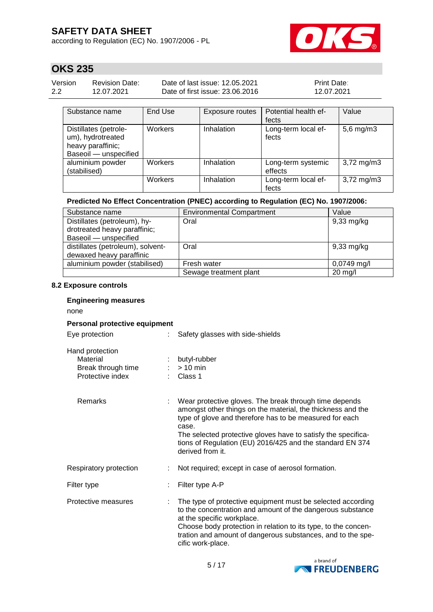according to Regulation (EC) No. 1907/2006 - PL



# **OKS 235**

| Version | Revision Date: | Date of last issue: 12.05.2021  | <b>Print Date:</b> |
|---------|----------------|---------------------------------|--------------------|
| 2.2     | 12.07.2021     | Date of first issue: 23,06,2016 | 12.07.2021         |

| Substance name                                                                           | End Use | Exposure routes | Potential health ef-<br>fects | Value                   |
|------------------------------------------------------------------------------------------|---------|-----------------|-------------------------------|-------------------------|
| Distillates (petrole-<br>um), hydrotreated<br>heavy paraffinic;<br>Baseoil - unspecified | Workers | Inhalation      | Long-term local ef-<br>fects  | $5,6$ mg/m $3$          |
| aluminium powder<br>(stabilised)                                                         | Workers | Inhalation      | Long-term systemic<br>effects | $3,72 \,\mathrm{mg/m}$  |
|                                                                                          | Workers | Inhalation      | Long-term local ef-<br>fects  | $3,72 \,\mathrm{mg/m3}$ |

## **Predicted No Effect Concentration (PNEC) according to Regulation (EC) No. 1907/2006:**

| Substance name                    | <b>Environmental Compartment</b> | Value                |
|-----------------------------------|----------------------------------|----------------------|
| Distillates (petroleum), hy-      | Oral                             | $9,33$ mg/kg         |
| drotreated heavy paraffinic;      |                                  |                      |
| Baseoil - unspecified             |                                  |                      |
| distillates (petroleum), solvent- | Oral                             | $9,33 \text{ mg/kg}$ |
| dewaxed heavy paraffinic          |                                  |                      |
| aluminium powder (stabilised)     | Fresh water                      | $0,0749$ mg/l        |
|                                   | Sewage treatment plant           | $20 \text{ mg/l}$    |

#### **8.2 Exposure controls**

## **Engineering measures**

none

#### **Personal protective equipment**

Eye protection : Safety glasses with side-shields

| Hand protection    |                |
|--------------------|----------------|
| Material           | : butyl-rubber |
| Break through time | $:$ > 10 min   |
| Protective index   | : Class 1      |

| <b>Remarks</b>         | ÷ | Wear protective gloves. The break through time depends<br>amongst other things on the material, the thickness and the<br>type of glove and therefore has to be measured for each<br>case.<br>The selected protective gloves have to satisfy the specifica-<br>tions of Regulation (EU) 2016/425 and the standard EN 374<br>derived from it. |
|------------------------|---|---------------------------------------------------------------------------------------------------------------------------------------------------------------------------------------------------------------------------------------------------------------------------------------------------------------------------------------------|
| Respiratory protection |   | Not required; except in case of aerosol formation.                                                                                                                                                                                                                                                                                          |
| Filter type            | ÷ | Filter type A-P                                                                                                                                                                                                                                                                                                                             |
| Protective measures    |   | The type of protective equipment must be selected according<br>to the concentration and amount of the dangerous substance<br>المتمسم المستحدد والكالماء والمتماس والقالمة                                                                                                                                                                   |

at the specific workplace. Choose body protection in relation to its type, to the concentration and amount of dangerous substances, and to the specific work-place.

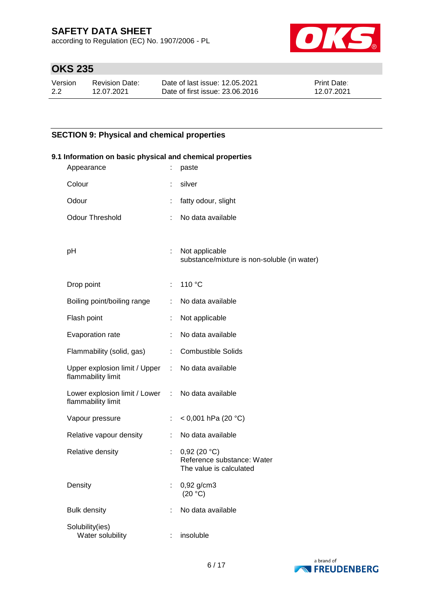according to Regulation (EC) No. 1907/2006 - PL



# **OKS 235**

| Version | Revision Date: | Date of last issue: 12.05.2021  | <b>Print Date:</b> |
|---------|----------------|---------------------------------|--------------------|
| 2.2     | 12.07.2021     | Date of first issue: 23,06,2016 | 12.07.2021         |

## **SECTION 9: Physical and chemical properties**

| 9.1 Information on basic physical and chemical properties |                                                                         |                           |                                                                      |  |  |  |  |
|-----------------------------------------------------------|-------------------------------------------------------------------------|---------------------------|----------------------------------------------------------------------|--|--|--|--|
|                                                           | Appearance                                                              | ÷.                        | paste                                                                |  |  |  |  |
|                                                           | Colour                                                                  | t.                        | silver                                                               |  |  |  |  |
|                                                           | Odour                                                                   |                           | fatty odour, slight                                                  |  |  |  |  |
|                                                           | <b>Odour Threshold</b>                                                  |                           | No data available                                                    |  |  |  |  |
|                                                           | pH                                                                      |                           | : Not applicable<br>substance/mixture is non-soluble (in water)      |  |  |  |  |
|                                                           | Drop point                                                              | $\mathbb{R}^{\mathbb{Z}}$ | 110 °C                                                               |  |  |  |  |
|                                                           | Boiling point/boiling range                                             | ÷.                        | No data available                                                    |  |  |  |  |
|                                                           | Flash point                                                             |                           | Not applicable                                                       |  |  |  |  |
|                                                           | Evaporation rate                                                        | ÷                         | No data available                                                    |  |  |  |  |
|                                                           | Flammability (solid, gas)                                               | $\mathbb{Z}^{\times}$     | <b>Combustible Solids</b>                                            |  |  |  |  |
|                                                           | Upper explosion limit / Upper : No data available<br>flammability limit |                           |                                                                      |  |  |  |  |
|                                                           | Lower explosion limit / Lower : No data available<br>flammability limit |                           |                                                                      |  |  |  |  |
|                                                           | Vapour pressure                                                         | ÷                         | < 0,001 hPa (20 °C)                                                  |  |  |  |  |
|                                                           | Relative vapour density                                                 | ÷.                        | No data available                                                    |  |  |  |  |
|                                                           | Relative density                                                        | ÷.                        | 0,92(20 °C)<br>Reference substance: Water<br>The value is calculated |  |  |  |  |
|                                                           | Density                                                                 |                           | 0,92 g/cm3<br>(20 °C)                                                |  |  |  |  |
|                                                           | <b>Bulk density</b>                                                     |                           | No data available                                                    |  |  |  |  |
|                                                           | Solubility(ies)<br>Water solubility                                     |                           | insoluble                                                            |  |  |  |  |

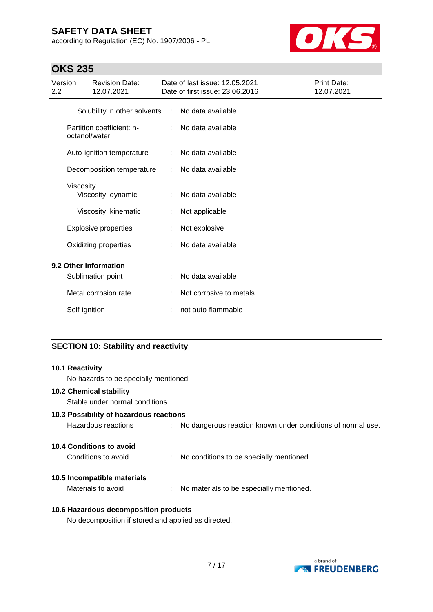according to Regulation (EC) No. 1907/2006 - PL



# **OKS 235**

| Version<br>2.2 |               | <b>Revision Date:</b><br>12.07.2021 |                             | Date of last issue: 12.05.2021<br>Date of first issue: 23.06.2016 | Print Date:<br>12.07.2021 |
|----------------|---------------|-------------------------------------|-----------------------------|-------------------------------------------------------------------|---------------------------|
|                |               | Solubility in other solvents        | $\mathcal{L}^{\mathcal{A}}$ | No data available                                                 |                           |
|                | octanol/water | Partition coefficient: n-           |                             | No data available                                                 |                           |
|                |               | Auto-ignition temperature           | ÷                           | No data available                                                 |                           |
|                |               | Decomposition temperature           |                             | No data available                                                 |                           |
|                | Viscosity     | Viscosity, dynamic                  | ÷                           | No data available                                                 |                           |
|                |               | Viscosity, kinematic                | t                           | Not applicable                                                    |                           |
|                |               | <b>Explosive properties</b>         |                             | Not explosive                                                     |                           |
|                |               | Oxidizing properties                |                             | No data available                                                 |                           |
|                |               | 9.2 Other information               |                             |                                                                   |                           |
|                |               | Sublimation point                   | ÷                           | No data available                                                 |                           |
|                |               | Metal corrosion rate                |                             | Not corrosive to metals                                           |                           |
|                | Self-ignition |                                     | ÷                           | not auto-flammable                                                |                           |

## **SECTION 10: Stability and reactivity**

| <b>10.1 Reactivity</b><br>No hazards to be specially mentioned.   |  |                                                               |  |  |
|-------------------------------------------------------------------|--|---------------------------------------------------------------|--|--|
| <b>10.2 Chemical stability</b><br>Stable under normal conditions. |  |                                                               |  |  |
| 10.3 Possibility of hazardous reactions                           |  |                                                               |  |  |
| Hazardous reactions                                               |  | : No dangerous reaction known under conditions of normal use. |  |  |
| <b>10.4 Conditions to avoid</b>                                   |  |                                                               |  |  |
| Conditions to avoid                                               |  | : No conditions to be specially mentioned.                    |  |  |
| 10.5 Incompatible materials                                       |  |                                                               |  |  |
| Materials to avoid                                                |  | : No materials to be especially mentioned.                    |  |  |
|                                                                   |  |                                                               |  |  |

## **10.6 Hazardous decomposition products**

No decomposition if stored and applied as directed.

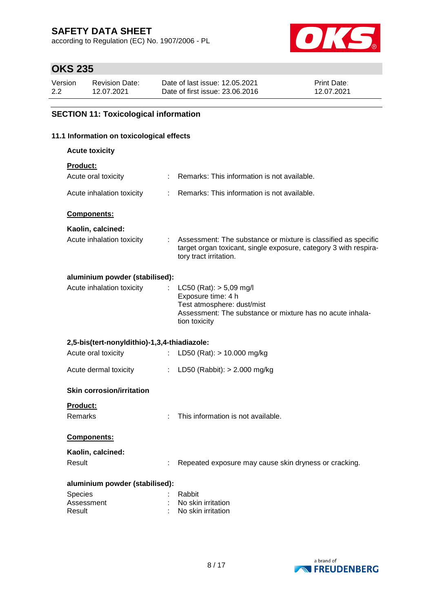according to Regulation (EC) No. 1907/2006 - PL



# **OKS 235**

| Version | Revision Date: | Date of last issue: 12.05.2021  | <b>Print Date:</b> |
|---------|----------------|---------------------------------|--------------------|
| 2.2     | 12.07.2021     | Date of first issue: 23,06,2016 | 12.07.2021         |

## **SECTION 11: Toxicological information**

## **11.1 Information on toxicological effects**

**Acute toxicity**

# **Product:**

| i ivuuvi.                                    |    |                                                                                                                                                               |
|----------------------------------------------|----|---------------------------------------------------------------------------------------------------------------------------------------------------------------|
| Acute oral toxicity                          |    | Remarks: This information is not available.                                                                                                                   |
| Acute inhalation toxicity                    | ÷  | Remarks: This information is not available.                                                                                                                   |
| Components:                                  |    |                                                                                                                                                               |
| Kaolin, calcined:                            |    |                                                                                                                                                               |
| Acute inhalation toxicity                    | ÷  | Assessment: The substance or mixture is classified as specific<br>target organ toxicant, single exposure, category 3 with respira-<br>tory tract irritation.  |
| aluminium powder (stabilised):               |    |                                                                                                                                                               |
| Acute inhalation toxicity                    |    | $LC50$ (Rat): $> 5,09$ mg/l<br>Exposure time: 4 h<br>Test atmosphere: dust/mist<br>Assessment: The substance or mixture has no acute inhala-<br>tion toxicity |
| 2,5-bis(tert-nonyldithio)-1,3,4-thiadiazole: |    |                                                                                                                                                               |
| Acute oral toxicity                          |    | LD50 (Rat): $> 10.000$ mg/kg                                                                                                                                  |
| Acute dermal toxicity                        | t. | LD50 (Rabbit): $> 2.000$ mg/kg                                                                                                                                |
| <b>Skin corrosion/irritation</b>             |    |                                                                                                                                                               |
| <b>Product:</b><br>Remarks                   |    | This information is not available.                                                                                                                            |
| <b>Components:</b>                           |    |                                                                                                                                                               |
| Kaolin, calcined:                            |    |                                                                                                                                                               |
| Result                                       |    | Repeated exposure may cause skin dryness or cracking.                                                                                                         |
| aluminium powder (stabilised):               |    |                                                                                                                                                               |
| Species                                      |    | Rabbit                                                                                                                                                        |
| Assessment                                   |    | No skin irritation                                                                                                                                            |
| Result                                       |    | No skin irritation                                                                                                                                            |

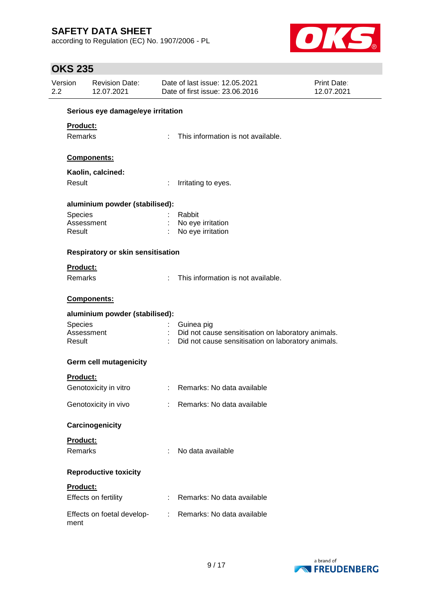according to Regulation (EC) No. 1907/2006 - PL



# **OKS 235**

| Version<br>2.2 |                | <b>Revision Date:</b><br>12.07.2021 |   | Date of last issue: 12.05.2021<br>Date of first issue: 23.06.2016 | <b>Print Date:</b><br>12.07.2021 |
|----------------|----------------|-------------------------------------|---|-------------------------------------------------------------------|----------------------------------|
|                |                | Serious eye damage/eye irritation   |   |                                                                   |                                  |
|                | Product:       |                                     |   |                                                                   |                                  |
|                | Remarks        |                                     |   | This information is not available.                                |                                  |
|                |                |                                     |   |                                                                   |                                  |
|                |                | Components:                         |   |                                                                   |                                  |
|                |                | Kaolin, calcined:                   |   |                                                                   |                                  |
|                | Result         |                                     |   | Irritating to eyes.                                               |                                  |
|                |                | aluminium powder (stabilised):      |   |                                                                   |                                  |
|                | Species        |                                     |   | Rabbit                                                            |                                  |
|                |                | Assessment                          |   | No eye irritation                                                 |                                  |
|                | Result         |                                     |   | No eye irritation                                                 |                                  |
|                |                | Respiratory or skin sensitisation   |   |                                                                   |                                  |
|                | Product:       |                                     |   |                                                                   |                                  |
|                | <b>Remarks</b> |                                     |   | This information is not available.                                |                                  |
|                |                | Components:                         |   |                                                                   |                                  |
|                |                | aluminium powder (stabilised):      |   |                                                                   |                                  |
|                | Species        |                                     |   | Guinea pig                                                        |                                  |
|                |                | Assessment                          |   | Did not cause sensitisation on laboratory animals.                |                                  |
|                | Result         |                                     |   | Did not cause sensitisation on laboratory animals.                |                                  |
|                |                | Germ cell mutagenicity              |   |                                                                   |                                  |
|                | Product:       |                                     |   |                                                                   |                                  |
|                |                | Genotoxicity in vitro               |   | : Remarks: No data available                                      |                                  |
|                |                | Genotoxicity in vivo                |   | : Remarks: No data available                                      |                                  |
|                |                | Carcinogenicity                     |   |                                                                   |                                  |
|                | Product:       |                                     |   |                                                                   |                                  |
|                | Remarks        |                                     | ÷ | No data available                                                 |                                  |
|                |                | <b>Reproductive toxicity</b>        |   |                                                                   |                                  |
|                | Product:       |                                     |   |                                                                   |                                  |
|                |                | Effects on fertility                |   | Remarks: No data available                                        |                                  |
|                |                |                                     |   |                                                                   |                                  |
|                | ment           | Effects on foetal develop-          |   | : Remarks: No data available                                      |                                  |
|                |                |                                     |   |                                                                   |                                  |

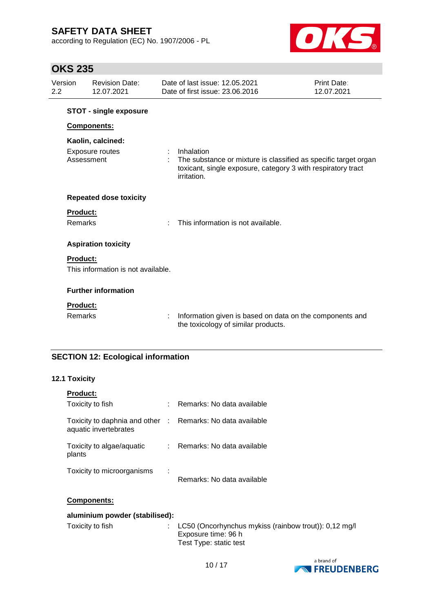according to Regulation (EC) No. 1907/2006 - PL



# **OKS 235**

| 2.2 | Version                    | <b>Revision Date:</b><br>12.07.2021         |   | Date of last issue: 12.05.2021<br>Date of first issue: 23,06,2016                                                                                            | Print Date:<br>12.07.2021 |
|-----|----------------------------|---------------------------------------------|---|--------------------------------------------------------------------------------------------------------------------------------------------------------------|---------------------------|
|     |                            | <b>STOT - single exposure</b>               |   |                                                                                                                                                              |                           |
|     |                            | Components:                                 |   |                                                                                                                                                              |                           |
|     | Assessment                 | Kaolin, calcined:<br><b>Exposure routes</b> | ÷ | Inhalation<br>The substance or mixture is classified as specific target organ<br>toxicant, single exposure, category 3 with respiratory tract<br>irritation. |                           |
|     |                            | <b>Repeated dose toxicity</b>               |   |                                                                                                                                                              |                           |
|     | Product:<br>Remarks        |                                             |   | This information is not available.                                                                                                                           |                           |
|     |                            | <b>Aspiration toxicity</b>                  |   |                                                                                                                                                              |                           |
|     | <b>Product:</b>            | This information is not available.          |   |                                                                                                                                                              |                           |
|     |                            | <b>Further information</b>                  |   |                                                                                                                                                              |                           |
|     | <b>Product:</b><br>Remarks |                                             | ÷ | Information given is based on data on the components and<br>the toxicology of similar products.                                                              |                           |

## **SECTION 12: Ecological information**

## **12.1 Toxicity**

| <b>Product:</b>                                          |   |                            |
|----------------------------------------------------------|---|----------------------------|
| Toxicity to fish                                         |   | Remarks: No data available |
| Toxicity to daphnia and other :<br>aquatic invertebrates |   | Remarks: No data available |
| Toxicity to algae/aquatic<br>plants                      |   | Remarks: No data available |
| Toxicity to microorganisms                               | ÷ | Remarks: No data available |

## **Components:**

| aluminium powder (stabilised): |                                                                                                                    |  |  |  |
|--------------------------------|--------------------------------------------------------------------------------------------------------------------|--|--|--|
| Toxicity to fish               | $\therefore$ LC50 (Oncorhynchus mykiss (rainbow trout)): 0,12 mg/<br>Exposure time: 96 h<br>Test Type: static test |  |  |  |

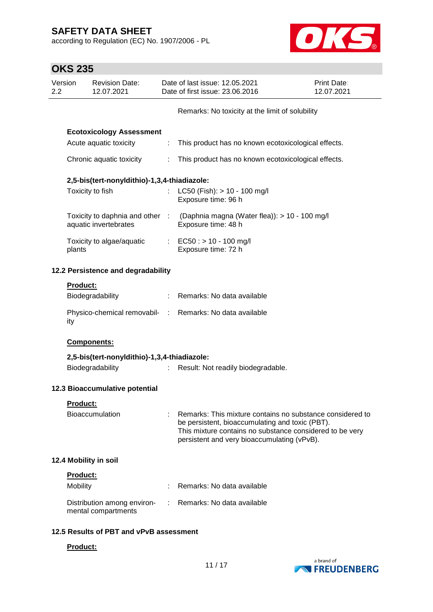according to Regulation (EC) No. 1907/2006 - PL



|                | <b>OKS 235</b>  |                                                    |    |                                                                                                                                                                                                                         |                           |
|----------------|-----------------|----------------------------------------------------|----|-------------------------------------------------------------------------------------------------------------------------------------------------------------------------------------------------------------------------|---------------------------|
| Version<br>2.2 |                 | <b>Revision Date:</b><br>12.07.2021                |    | Date of last issue: 12.05.2021<br>Date of first issue: 23.06.2016                                                                                                                                                       | Print Date:<br>12.07.2021 |
|                |                 |                                                    |    | Remarks: No toxicity at the limit of solubility                                                                                                                                                                         |                           |
|                |                 | <b>Ecotoxicology Assessment</b>                    |    |                                                                                                                                                                                                                         |                           |
|                |                 | Acute aquatic toxicity                             | ÷. | This product has no known ecotoxicological effects.                                                                                                                                                                     |                           |
|                |                 | Chronic aquatic toxicity                           | ÷. | This product has no known ecotoxicological effects.                                                                                                                                                                     |                           |
|                |                 | 2,5-bis(tert-nonyldithio)-1,3,4-thiadiazole:       |    |                                                                                                                                                                                                                         |                           |
|                |                 | Toxicity to fish                                   | t. | LC50 (Fish): > 10 - 100 mg/l<br>Exposure time: 96 h                                                                                                                                                                     |                           |
|                |                 | aquatic invertebrates                              |    | Toxicity to daphnia and other : (Daphnia magna (Water flea)): > 10 - 100 mg/l<br>Exposure time: 48 h                                                                                                                    |                           |
|                | plants          | Toxicity to algae/aquatic                          |    | : $EC50: > 10 - 100$ mg/l<br>Exposure time: 72 h                                                                                                                                                                        |                           |
|                |                 | 12.2 Persistence and degradability                 |    |                                                                                                                                                                                                                         |                           |
|                | <b>Product:</b> |                                                    |    |                                                                                                                                                                                                                         |                           |
|                |                 | Biodegradability                                   |    | Remarks: No data available                                                                                                                                                                                              |                           |
|                | ity             |                                                    |    | Physico-chemical removabil- : Remarks: No data available                                                                                                                                                                |                           |
|                |                 | Components:                                        |    |                                                                                                                                                                                                                         |                           |
|                |                 | 2,5-bis(tert-nonyldithio)-1,3,4-thiadiazole:       |    |                                                                                                                                                                                                                         |                           |
|                |                 | Biodegradability                                   | ÷  | Result: Not readily biodegradable.                                                                                                                                                                                      |                           |
|                |                 | 12.3 Bioaccumulative potential                     |    |                                                                                                                                                                                                                         |                           |
|                | Product:        |                                                    |    |                                                                                                                                                                                                                         |                           |
|                |                 | Bioaccumulation                                    |    | Remarks: This mixture contains no substance considered to<br>be persistent, bioaccumulating and toxic (PBT).<br>This mixture contains no substance considered to be very<br>persistent and very bioaccumulating (vPvB). |                           |
|                |                 | 12.4 Mobility in soil                              |    |                                                                                                                                                                                                                         |                           |
|                | Product:        |                                                    |    |                                                                                                                                                                                                                         |                           |
|                | Mobility        |                                                    |    | Remarks: No data available                                                                                                                                                                                              |                           |
|                |                 | Distribution among environ-<br>mental compartments |    | Remarks: No data available                                                                                                                                                                                              |                           |
|                |                 | 12.5 Results of PBT and vPvB assessment            |    |                                                                                                                                                                                                                         |                           |
|                | Product:        |                                                    |    |                                                                                                                                                                                                                         |                           |



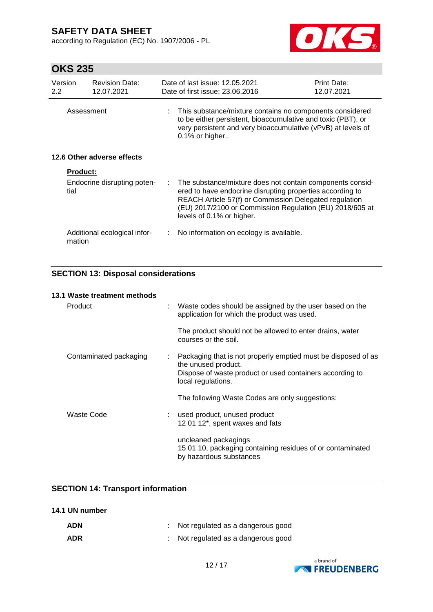according to Regulation (EC) No. 1907/2006 - PL



# **OKS 235**

| Version<br>$2.2\phantom{0}$ | <b>Revision Date:</b><br>12.07.2021    |    | Date of last issue: 12.05.2021<br>Date of first issue: 23.06.2016                                                                                                                                                                                                         | Print Date:<br>12.07.2021 |
|-----------------------------|----------------------------------------|----|---------------------------------------------------------------------------------------------------------------------------------------------------------------------------------------------------------------------------------------------------------------------------|---------------------------|
|                             | Assessment                             |    | This substance/mixture contains no components considered<br>to be either persistent, bioaccumulative and toxic (PBT), or<br>very persistent and very bioaccumulative (vPvB) at levels of<br>$0.1\%$ or higher                                                             |                           |
|                             | 12.6 Other adverse effects             |    |                                                                                                                                                                                                                                                                           |                           |
|                             | <b>Product:</b>                        |    |                                                                                                                                                                                                                                                                           |                           |
|                             | Endocrine disrupting poten-<br>tial    | t. | The substance/mixture does not contain components consid-<br>ered to have endocrine disrupting properties according to<br>REACH Article 57(f) or Commission Delegated regulation<br>(EU) 2017/2100 or Commission Regulation (EU) 2018/605 at<br>levels of 0.1% or higher. |                           |
|                             | Additional ecological infor-<br>mation |    | : No information on ecology is available.                                                                                                                                                                                                                                 |                           |

## **SECTION 13: Disposal considerations**

| 13.1 Waste treatment methods |   |                                                                                                                                                                        |
|------------------------------|---|------------------------------------------------------------------------------------------------------------------------------------------------------------------------|
| Product                      |   | Waste codes should be assigned by the user based on the<br>application for which the product was used.                                                                 |
|                              |   | The product should not be allowed to enter drains, water<br>courses or the soil.                                                                                       |
| Contaminated packaging       | ÷ | Packaging that is not properly emptied must be disposed of as<br>the unused product.<br>Dispose of waste product or used containers according to<br>local regulations. |
|                              |   | The following Waste Codes are only suggestions:                                                                                                                        |
| Waste Code                   |   | used product, unused product<br>12 01 12*, spent waxes and fats                                                                                                        |
|                              |   | uncleaned packagings<br>15 01 10, packaging containing residues of or contaminated<br>by hazardous substances                                                          |

## **SECTION 14: Transport information**

| 14.1 UN number |  |
|----------------|--|
|----------------|--|

| <b>ADN</b> | Not regulated as a dangerous good |
|------------|-----------------------------------|
| <b>ADR</b> | Not regulated as a dangerous good |

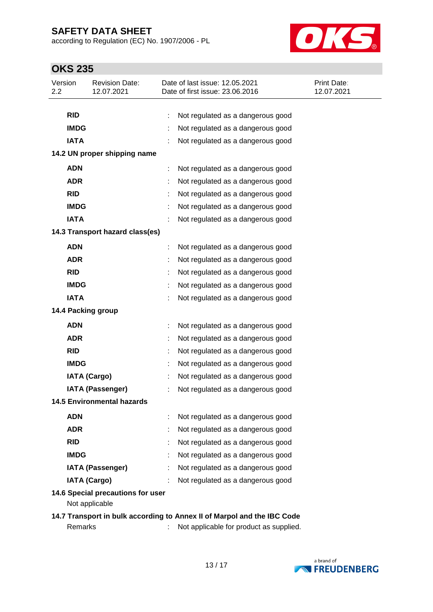according to Regulation (EC) No. 1907/2006 - PL



# **OKS 235**

| Version<br>2.2 |             | <b>Revision Date:</b><br>12.07.2021 | Date of last issue: 12.05.2021<br>Date of first issue: 23.06.2016       | <b>Print Date:</b><br>12.07.2021 |
|----------------|-------------|-------------------------------------|-------------------------------------------------------------------------|----------------------------------|
|                |             |                                     |                                                                         |                                  |
|                | <b>RID</b>  |                                     | Not regulated as a dangerous good                                       |                                  |
|                | <b>IMDG</b> |                                     | Not regulated as a dangerous good                                       |                                  |
|                | <b>IATA</b> |                                     | Not regulated as a dangerous good                                       |                                  |
|                |             | 14.2 UN proper shipping name        |                                                                         |                                  |
|                | <b>ADN</b>  |                                     | Not regulated as a dangerous good                                       |                                  |
|                | <b>ADR</b>  |                                     | Not regulated as a dangerous good                                       |                                  |
|                | <b>RID</b>  |                                     | Not regulated as a dangerous good                                       |                                  |
|                | <b>IMDG</b> |                                     | Not regulated as a dangerous good                                       |                                  |
|                | <b>IATA</b> |                                     | Not regulated as a dangerous good                                       |                                  |
|                |             | 14.3 Transport hazard class(es)     |                                                                         |                                  |
|                | <b>ADN</b>  |                                     | Not regulated as a dangerous good                                       |                                  |
|                | <b>ADR</b>  |                                     | Not regulated as a dangerous good                                       |                                  |
|                | <b>RID</b>  |                                     | Not regulated as a dangerous good                                       |                                  |
|                | <b>IMDG</b> |                                     | Not regulated as a dangerous good                                       |                                  |
|                | <b>IATA</b> |                                     | Not regulated as a dangerous good                                       |                                  |
|                |             | 14.4 Packing group                  |                                                                         |                                  |
|                | <b>ADN</b>  |                                     | Not regulated as a dangerous good                                       |                                  |
|                | <b>ADR</b>  |                                     | Not regulated as a dangerous good                                       |                                  |
|                | <b>RID</b>  |                                     | Not regulated as a dangerous good                                       |                                  |
|                | <b>IMDG</b> |                                     | Not regulated as a dangerous good                                       |                                  |
|                |             | <b>IATA (Cargo)</b>                 | Not regulated as a dangerous good                                       |                                  |
|                |             | <b>IATA (Passenger)</b>             | Not regulated as a dangerous good                                       |                                  |
|                |             | <b>14.5 Environmental hazards</b>   |                                                                         |                                  |
|                | <b>ADN</b>  |                                     | Not regulated as a dangerous good                                       |                                  |
|                | <b>ADR</b>  |                                     | Not regulated as a dangerous good                                       |                                  |
|                | <b>RID</b>  |                                     | Not regulated as a dangerous good                                       |                                  |
|                | <b>IMDG</b> |                                     | Not regulated as a dangerous good                                       |                                  |
|                |             | <b>IATA (Passenger)</b>             | Not regulated as a dangerous good                                       |                                  |
|                |             | <b>IATA (Cargo)</b>                 | Not regulated as a dangerous good                                       |                                  |
|                |             | 14.6 Special precautions for user   |                                                                         |                                  |
|                |             | Not applicable                      |                                                                         |                                  |
|                |             |                                     | 14.7 Transport in bulk according to Annex II of Marpol and the IBC Code |                                  |
|                | Remarks     |                                     | Not applicable for product as supplied.                                 |                                  |

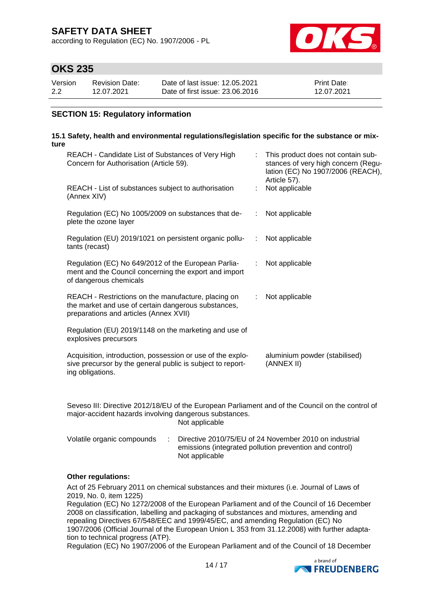according to Regulation (EC) No. 1907/2006 - PL



# **OKS 235**

| Version | Revision Date: | Date of last issue: 12.05.2021  | <b>Print Date:</b> |
|---------|----------------|---------------------------------|--------------------|
| 2.2     | 12.07.2021     | Date of first issue: 23,06,2016 | 12.07.2021         |

## **SECTION 15: Regulatory information**

#### **15.1 Safety, health and environmental regulations/legislation specific for the substance or mixture**

| REACH - Candidate List of Substances of Very High<br>Concern for Authorisation (Article 59).                                                         |                               | This product does not contain sub-<br>stances of very high concern (Regu-<br>lation (EC) No 1907/2006 (REACH),<br>Article 57). |
|------------------------------------------------------------------------------------------------------------------------------------------------------|-------------------------------|--------------------------------------------------------------------------------------------------------------------------------|
| REACH - List of substances subject to authorisation<br>(Annex XIV)                                                                                   |                               | Not applicable                                                                                                                 |
| Regulation (EC) No 1005/2009 on substances that de-<br>plete the ozone layer                                                                         |                               | : Not applicable                                                                                                               |
| Regulation (EU) 2019/1021 on persistent organic pollu-<br>tants (recast)                                                                             | $\mathcal{L}^{\mathcal{L}}$   | Not applicable                                                                                                                 |
| Regulation (EC) No 649/2012 of the European Parlia-<br>ment and the Council concerning the export and import<br>of dangerous chemicals               | ÷.                            | Not applicable                                                                                                                 |
| REACH - Restrictions on the manufacture, placing on<br>the market and use of certain dangerous substances,<br>preparations and articles (Annex XVII) | $\mathcal{I}^{\mathcal{I}}$ . | Not applicable                                                                                                                 |
| Regulation (EU) 2019/1148 on the marketing and use of<br>explosives precursors                                                                       |                               |                                                                                                                                |
| Acquisition, introduction, possession or use of the explo-<br>sive precursor by the general public is subject to report-<br>ing obligations.         |                               | aluminium powder (stabilised)<br>(ANNEX II)                                                                                    |
|                                                                                                                                                      |                               |                                                                                                                                |

Seveso III: Directive 2012/18/EU of the European Parliament and of the Council on the control of major-accident hazards involving dangerous substances. Not applicable

| Volatile organic compounds | Directive 2010/75/EU of 24 November 2010 on industrial  |
|----------------------------|---------------------------------------------------------|
|                            | emissions (integrated pollution prevention and control) |
|                            | Not applicable                                          |

## **Other regulations:**

Act of 25 February 2011 on chemical substances and their mixtures (i.e. Journal of Laws of 2019, No. 0, item 1225)

Regulation (EC) No 1272/2008 of the European Parliament and of the Council of 16 December 2008 on classification, labelling and packaging of substances and mixtures, amending and repealing Directives 67/548/EEC and 1999/45/EC, and amending Regulation (EC) No 1907/2006 (Official Journal of the European Union L 353 from 31.12.2008) with further adaptation to technical progress (ATP).

Regulation (EC) No 1907/2006 of the European Parliament and of the Council of 18 December

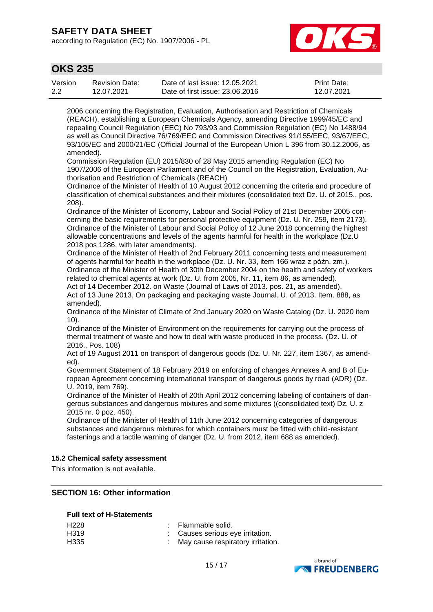according to Regulation (EC) No. 1907/2006 - PL



## **OKS 235**

| Version | Revision Date: | Date of last issue: 12.05.2021  | <b>Print Date:</b> |
|---------|----------------|---------------------------------|--------------------|
| 2.2     | 12.07.2021     | Date of first issue: 23,06,2016 | 12.07.2021         |

2006 concerning the Registration, Evaluation, Authorisation and Restriction of Chemicals (REACH), establishing a European Chemicals Agency, amending Directive 1999/45/EC and repealing Council Regulation (EEC) No 793/93 and Commission Regulation (EC) No 1488/94 as well as Council Directive 76/769/EEC and Commission Directives 91/155/EEC, 93/67/EEC, 93/105/EC and 2000/21/EC (Official Journal of the European Union L 396 from 30.12.2006, as amended).

Commission Regulation (EU) 2015/830 of 28 May 2015 amending Regulation (EC) No 1907/2006 of the European Parliament and of the Council on the Registration, Evaluation, Authorisation and Restriction of Chemicals (REACH)

Ordinance of the Minister of Health of 10 August 2012 concerning the criteria and procedure of classification of chemical substances and their mixtures (consolidated text Dz. U. of 2015., pos. 208).

Ordinance of the Minister of Economy, Labour and Social Policy of 21st December 2005 concerning the basic requirements for personal protective equipment (Dz. U. Nr. 259, item 2173). Ordinance of the Minister of Labour and Social Policy of 12 June 2018 concerning the highest allowable concentrations and levels of the agents harmful for health in the workplace (Dz.U 2018 pos 1286, with later amendments).

Ordinance of the Minister of Health of 2nd February 2011 concerning tests and measurement of agents harmful for health in the workplace (Dz. U. Nr. 33, item 166 wraz z późn. zm.). Ordinance of the Minister of Health of 30th December 2004 on the health and safety of workers related to chemical agents at work (Dz. U. from 2005, Nr. 11, item 86, as amended).

Act of 14 December 2012. on Waste (Journal of Laws of 2013. pos. 21, as amended). Act of 13 June 2013. On packaging and packaging waste Journal. U. of 2013. Item. 888, as amended).

Ordinance of the Minister of Climate of 2nd January 2020 on Waste Catalog (Dz. U. 2020 item 10).

Ordinance of the Minister of Environment on the requirements for carrying out the process of thermal treatment of waste and how to deal with waste produced in the process. (Dz. U. of 2016., Pos. 108)

Act of 19 August 2011 on transport of dangerous goods (Dz. U. Nr. 227, item 1367, as amended).

Government Statement of 18 February 2019 on enforcing of changes Annexes A and B of European Agreement concerning international transport of dangerous goods by road (ADR) (Dz. U. 2019, item 769).

Ordinance of the Minister of Health of 20th April 2012 concerning labeling of containers of dangerous substances and dangerous mixtures and some mixtures ((consolidated text) Dz. U. z 2015 nr. 0 poz. 450).

Ordinance of the Minister of Health of 11th June 2012 concerning categories of dangerous substances and dangerous mixtures for which containers must be fitted with child-resistant fastenings and a tactile warning of danger (Dz. U. from 2012, item 688 as amended).

## **15.2 Chemical safety assessment**

This information is not available.

## **SECTION 16: Other information**

## **Full text of H-Statements**

| H <sub>228</sub> | : Flammable solid.                  |
|------------------|-------------------------------------|
| H319             | : Causes serious eye irritation.    |
| H335             | : May cause respiratory irritation. |

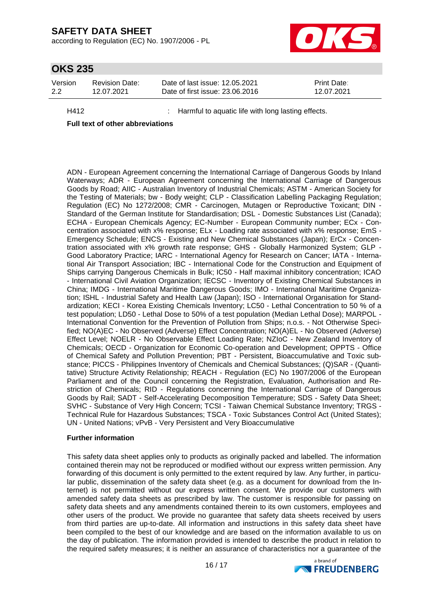according to Regulation (EC) No. 1907/2006 - PL



## **OKS 235**

| Version | <b>Revision Date:</b> | Date of last issue: 12.05.2021  | <b>Print Date:</b> |
|---------|-----------------------|---------------------------------|--------------------|
| 2.2     | 12.07.2021            | Date of first issue: 23,06,2016 | 12.07.2021         |

H412 : Harmful to aquatic life with long lasting effects.

## **Full text of other abbreviations**

ADN - European Agreement concerning the International Carriage of Dangerous Goods by Inland Waterways; ADR - European Agreement concerning the International Carriage of Dangerous Goods by Road; AIIC - Australian Inventory of Industrial Chemicals; ASTM - American Society for the Testing of Materials; bw - Body weight; CLP - Classification Labelling Packaging Regulation; Regulation (EC) No 1272/2008; CMR - Carcinogen, Mutagen or Reproductive Toxicant; DIN - Standard of the German Institute for Standardisation; DSL - Domestic Substances List (Canada); ECHA - European Chemicals Agency; EC-Number - European Community number; ECx - Concentration associated with x% response; ELx - Loading rate associated with x% response; EmS - Emergency Schedule; ENCS - Existing and New Chemical Substances (Japan); ErCx - Concentration associated with x% growth rate response; GHS - Globally Harmonized System; GLP - Good Laboratory Practice; IARC - International Agency for Research on Cancer; IATA - International Air Transport Association; IBC - International Code for the Construction and Equipment of Ships carrying Dangerous Chemicals in Bulk; IC50 - Half maximal inhibitory concentration; ICAO - International Civil Aviation Organization; IECSC - Inventory of Existing Chemical Substances in China; IMDG - International Maritime Dangerous Goods; IMO - International Maritime Organization; ISHL - Industrial Safety and Health Law (Japan); ISO - International Organisation for Standardization; KECI - Korea Existing Chemicals Inventory; LC50 - Lethal Concentration to 50 % of a test population; LD50 - Lethal Dose to 50% of a test population (Median Lethal Dose); MARPOL - International Convention for the Prevention of Pollution from Ships; n.o.s. - Not Otherwise Specified; NO(A)EC - No Observed (Adverse) Effect Concentration; NO(A)EL - No Observed (Adverse) Effect Level; NOELR - No Observable Effect Loading Rate; NZIoC - New Zealand Inventory of Chemicals; OECD - Organization for Economic Co-operation and Development; OPPTS - Office of Chemical Safety and Pollution Prevention; PBT - Persistent, Bioaccumulative and Toxic substance; PICCS - Philippines Inventory of Chemicals and Chemical Substances; (Q)SAR - (Quantitative) Structure Activity Relationship; REACH - Regulation (EC) No 1907/2006 of the European Parliament and of the Council concerning the Registration, Evaluation, Authorisation and Restriction of Chemicals; RID - Regulations concerning the International Carriage of Dangerous Goods by Rail; SADT - Self-Accelerating Decomposition Temperature; SDS - Safety Data Sheet; SVHC - Substance of Very High Concern; TCSI - Taiwan Chemical Substance Inventory; TRGS - Technical Rule for Hazardous Substances; TSCA - Toxic Substances Control Act (United States); UN - United Nations; vPvB - Very Persistent and Very Bioaccumulative

## **Further information**

This safety data sheet applies only to products as originally packed and labelled. The information contained therein may not be reproduced or modified without our express written permission. Any forwarding of this document is only permitted to the extent required by law. Any further, in particular public, dissemination of the safety data sheet (e.g. as a document for download from the Internet) is not permitted without our express written consent. We provide our customers with amended safety data sheets as prescribed by law. The customer is responsible for passing on safety data sheets and any amendments contained therein to its own customers, employees and other users of the product. We provide no guarantee that safety data sheets received by users from third parties are up-to-date. All information and instructions in this safety data sheet have been compiled to the best of our knowledge and are based on the information available to us on the day of publication. The information provided is intended to describe the product in relation to the required safety measures; it is neither an assurance of characteristics nor a guarantee of the